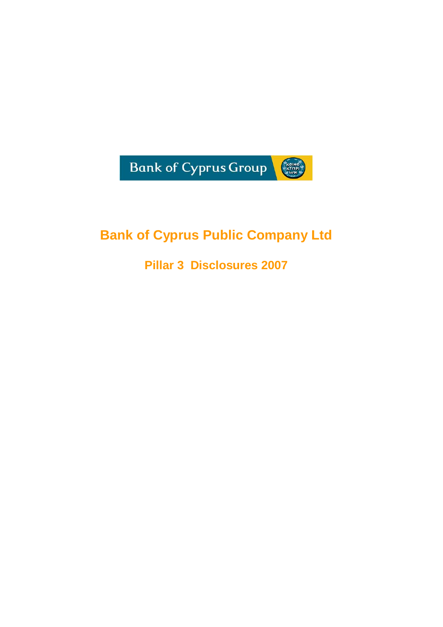

# **Bank of Cyprus Public Company Ltd**

**Pillar 3 Disclosures 2007**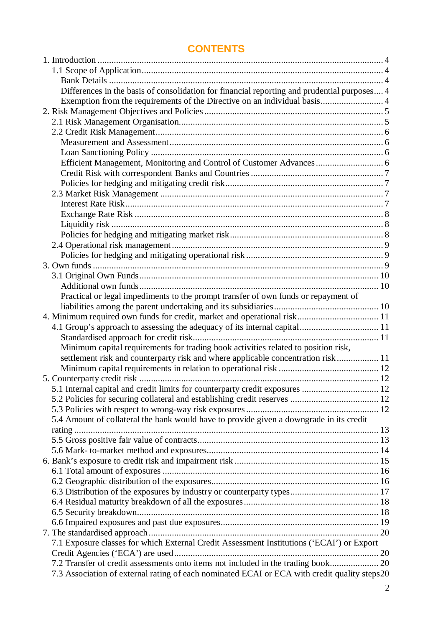## **CONTENTS**

| Differences in the basis of consolidation for financial reporting and prudential purposes 4  |  |
|----------------------------------------------------------------------------------------------|--|
| Exemption from the requirements of the Directive on an individual basis 4                    |  |
|                                                                                              |  |
|                                                                                              |  |
|                                                                                              |  |
|                                                                                              |  |
|                                                                                              |  |
|                                                                                              |  |
|                                                                                              |  |
|                                                                                              |  |
|                                                                                              |  |
|                                                                                              |  |
|                                                                                              |  |
|                                                                                              |  |
|                                                                                              |  |
|                                                                                              |  |
|                                                                                              |  |
|                                                                                              |  |
|                                                                                              |  |
|                                                                                              |  |
| Practical or legal impediments to the prompt transfer of own funds or repayment of           |  |
|                                                                                              |  |
|                                                                                              |  |
|                                                                                              |  |
|                                                                                              |  |
| Minimum capital requirements for trading book activities related to position risk,           |  |
| settlement risk and counterparty risk and where applicable concentration risk  11            |  |
|                                                                                              |  |
|                                                                                              |  |
| 5.1 Internal capital and credit limits for counterparty credit exposures  12                 |  |
|                                                                                              |  |
|                                                                                              |  |
| 5.4 Amount of collateral the bank would have to provide given a downgrade in its credit      |  |
|                                                                                              |  |
|                                                                                              |  |
|                                                                                              |  |
|                                                                                              |  |
|                                                                                              |  |
|                                                                                              |  |
|                                                                                              |  |
|                                                                                              |  |
|                                                                                              |  |
|                                                                                              |  |
|                                                                                              |  |
| 7.1 Exposure classes for which External Credit Assessment Institutions ('ECAI') or Export    |  |
|                                                                                              |  |
| 7.2 Transfer of credit assessments onto items not included in the trading book 20            |  |
| 7.3 Association of external rating of each nominated ECAI or ECA with credit quality steps20 |  |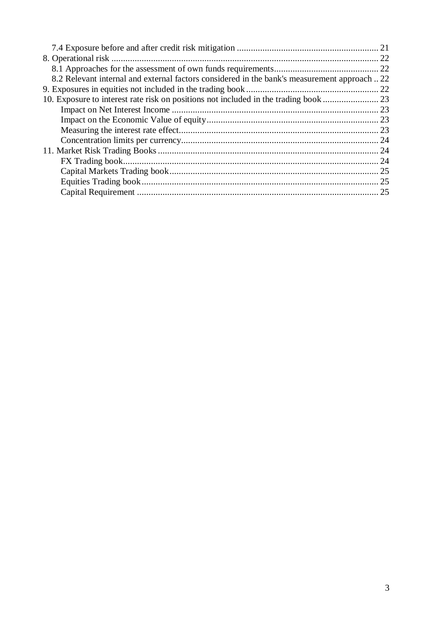| 8.2 Relevant internal and external factors considered in the bank's measurement approach22 |  |
|--------------------------------------------------------------------------------------------|--|
|                                                                                            |  |
| 10. Exposure to interest rate risk on positions not included in the trading book  23       |  |
|                                                                                            |  |
|                                                                                            |  |
|                                                                                            |  |
|                                                                                            |  |
|                                                                                            |  |
|                                                                                            |  |
|                                                                                            |  |
|                                                                                            |  |
|                                                                                            |  |
|                                                                                            |  |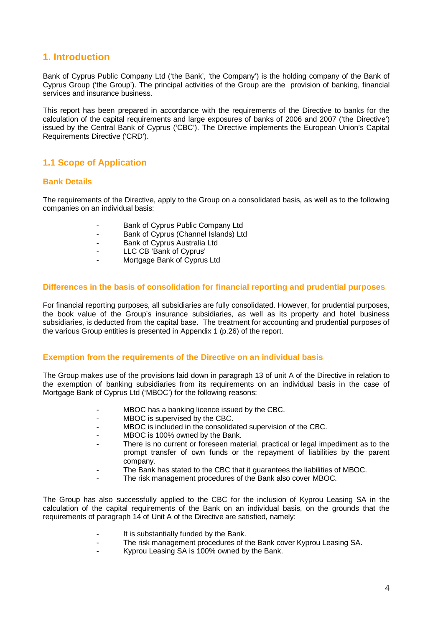## **1. Introduction**

Bank of Cyprus Public Company Ltd ('the Bank', 'the Company') is the holding company of the Bank of Cyprus Group ('the Group'). The principal activities of the Group are the provision of banking, financial services and insurance business.

This report has been prepared in accordance with the requirements of the Directive to banks for the calculation of the capital requirements and large exposures of banks of 2006 and 2007 ('the Directive') issued by the Central Bank of Cyprus ('CBC'). The Directive implements the European Union's Capital Requirements Directive ('CRD').

## **1.1 Scope of Application**

### **Bank Details**

The requirements of the Directive, apply to the Group on a consolidated basis, as well as to the following companies on an individual basis:

- Bank of Cyprus Public Company Ltd
- Bank of Cyprus (Channel Islands) Ltd
- Bank of Cyprus Australia Ltd
- LLC CB 'Bank of Cyprus'
- Mortgage Bank of Cyprus Ltd

#### **Differences in the basis of consolidation for financial reporting and prudential purposes**

For financial reporting purposes, all subsidiaries are fully consolidated. However, for prudential purposes, the book value of the Group's insurance subsidiaries, as well as its property and hotel business subsidiaries, is deducted from the capital base. The treatment for accounting and prudential purposes of the various Group entities is presented in Appendix 1 (p.26) of the report.

#### **Exemption from the requirements of the Directive on an individual basis**

The Group makes use of the provisions laid down in paragraph 13 of unit A of the Directive in relation to the exemption of banking subsidiaries from its requirements on an individual basis in the case of Mortgage Bank of Cyprus Ltd ('MBOC') for the following reasons:

- MBOC has a banking licence issued by the CBC.
- MBOC is supervised by the CBC.
- MBOC is included in the consolidated supervision of the CBC.
- MBOC is 100% owned by the Bank.
- There is no current or foreseen material, practical or legal impediment as to the prompt transfer of own funds or the repayment of liabilities by the parent company.
- The Bank has stated to the CBC that it guarantees the liabilities of MBOC.
- The risk management procedures of the Bank also cover MBOC.

The Group has also successfully applied to the CBC for the inclusion of Kyprou Leasing SA in the calculation of the capital requirements of the Bank on an individual basis, on the grounds that the requirements of paragraph 14 of Unit A of the Directive are satisfied, namely:

- It is substantially funded by the Bank.<br>- The risk management procedures of the
- The risk management procedures of the Bank cover Kyprou Leasing SA.
- Kyprou Leasing SA is 100% owned by the Bank.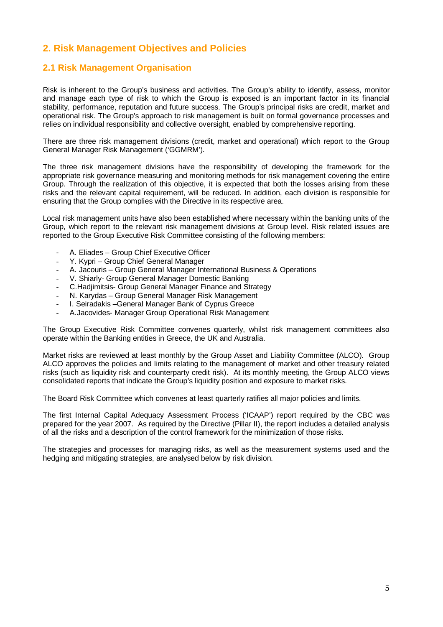## **2. Risk Management Objectives and Policies**

## **2.1 Risk Management Organisation**

Risk is inherent to the Group's business and activities. The Group's ability to identify, assess, monitor and manage each type of risk to which the Group is exposed is an important factor in its financial stability, performance, reputation and future success. The Group's principal risks are credit, market and operational risk. The Group's approach to risk management is built on formal governance processes and relies on individual responsibility and collective oversight, enabled by comprehensive reporting.

There are three risk management divisions (credit, market and operational) which report to the Group General Manager Risk Management ('GGMRM').

The three risk management divisions have the responsibility of developing the framework for the appropriate risk governance measuring and monitoring methods for risk management covering the entire Group. Through the realization of this objective, it is expected that both the losses arising from these risks and the relevant capital requirement, will be reduced. In addition, each division is responsible for ensuring that the Group complies with the Directive in its respective area.

Local risk management units have also been established where necessary within the banking units of the Group, which report to the relevant risk management divisions at Group level. Risk related issues are reported to the Group Executive Risk Committee consisting of the following members:

- Α. Eliades Group Chief Executive Officer
- Y. Kypri Group Chief General Manager
- A. Jacouris Group General Manager International Business & Operations
- V. Shiarly- Group General Manager Domestic Banking
- C.Hadjimitsis- Group General Manager Finance and Strategy
- N. Karydas Group General Manager Risk Management
- I. Seiradakis General Manager Bank of Cyprus Greece
- A.Jacovides- Manager Group Operational Risk Management

The Group Executive Risk Committee convenes quarterly, whilst risk management committees also operate within the Banking entities in Greece, the UK and Australia.

Market risks are reviewed at least monthly by the Group Asset and Liability Committee (ALCO). Group ALCO approves the policies and limits relating to the management of market and other treasury related risks (such as liquidity risk and counterparty credit risk). At its monthly meeting, the Group ALCO views consolidated reports that indicate the Group's liquidity position and exposure to market risks.

The Board Risk Committee which convenes at least quarterly ratifies all major policies and limits.

The first Internal Capital Adequacy Assessment Process ('ICAAP') report required by the CBC was prepared for the year 2007. As required by the Directive (Pillar II), the report includes a detailed analysis of all the risks and a description of the control framework for the minimization of those risks.

The strategies and processes for managing risks, as well as the measurement systems used and the hedging and mitigating strategies, are analysed below by risk division.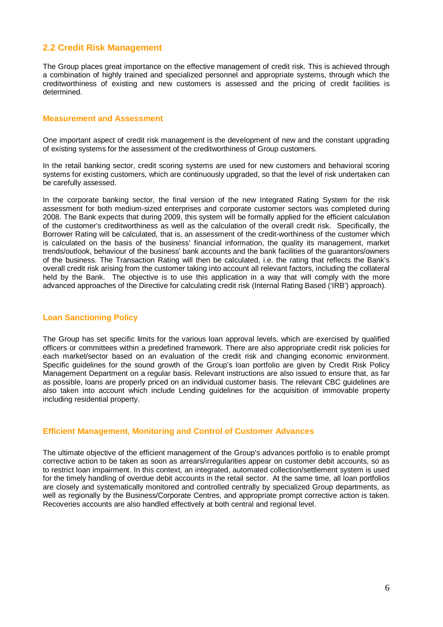## **2.2 Credit Risk Management**

The Group places great importance on the effective management of credit risk. This is achieved through a combination of highly trained and specialized personnel and appropriate systems, through which the creditworthiness of existing and new customers is assessed and the pricing of credit facilities is determined.

#### **Measurement and Assessment**

One important aspect of credit risk management is the development of new and the constant upgrading of existing systems for the assessment of the creditworthiness of Group customers.

In the retail banking sector, credit scoring systems are used for new customers and behavioral scoring systems for existing customers, which are continuously upgraded, so that the level of risk undertaken can be carefully assessed.

In the corporate banking sector, the final version of the new Integrated Rating System for the risk assessment for both medium-sized enterprises and corporate customer sectors was completed during 2008. The Bank expects that during 2009, this system will be formally applied for the efficient calculation of the customer's creditworthiness as well as the calculation of the overall credit risk. Specifically, the Borrower Rating will be calculated, that is, an assessment of the credit-worthiness of the customer which is calculated on the basis of the business' financial information, the quality its management, market trends/outlook, behaviour of the business' bank accounts and the bank facilities of the guarantors/owners of the business. The Transaction Rating will then be calculated, i.e. the rating that reflects the Bank's overall credit risk arising from the customer taking into account all relevant factors, including the collateral held by the Bank. The objective is to use this application in a way that will comply with the more advanced approaches of the Directive for calculating credit risk (Internal Rating Based ('IRB') approach).

### **Loan Sanctioning Policy**

The Group has set specific limits for the various loan approval levels, which are exercised by qualified officers or committees within a predefined framework. There are also appropriate credit risk policies for each market/sector based on an evaluation of the credit risk and changing economic environment. Specific guidelines for the sound growth of the Group's loan portfolio are given by Credit Risk Policy Management Department on a regular basis. Relevant instructions are also issued to ensure that, as far as possible, loans are properly priced on an individual customer basis. The relevant CBC guidelines are also taken into account which include Lending guidelines for the acquisition of immovable property including residential property.

#### **Efficient Management, Monitoring and Control of Customer Advances**

The ultimate objective of the efficient management of the Group's advances portfolio is to enable prompt corrective action to be taken as soon as arrears/irregularities appear on customer debit accounts, so as to restrict loan impairment. In this context, an integrated, automated collection/settlement system is used for the timely handling of overdue debit accounts in the retail sector. At the same time, all loan portfolios are closely and systematically monitored and controlled centrally by specialized Group departments, as well as regionally by the Business/Corporate Centres, and appropriate prompt corrective action is taken. Recoveries accounts are also handled effectively at both central and regional level.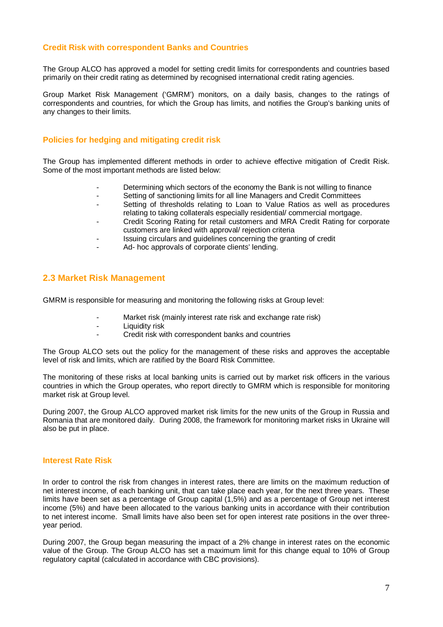## **Credit Risk with correspondent Banks and Countries**

The Group ALCO has approved a model for setting credit limits for correspondents and countries based primarily on their credit rating as determined by recognised international credit rating agencies.

Group Market Risk Management ('GMRM') monitors, on a daily basis, changes to the ratings of correspondents and countries, for which the Group has limits, and notifies the Group's banking units of any changes to their limits.

### **Policies for hedging and mitigating credit risk**

The Group has implemented different methods in order to achieve effective mitigation of Credit Risk. Some of the most important methods are listed below:

- Determining which sectors of the economy the Bank is not willing to finance
- Setting of sanctioning limits for all line Managers and Credit Committees
- Setting of thresholds relating to Loan to Value Ratios as well as procedures relating to taking collaterals especially residential/ commercial mortgage.
- Credit Scoring Rating for retail customers and MRA Credit Rating for corporate customers are linked with approval/ rejection criteria
- Issuing circulars and guidelines concerning the granting of credit
- Ad- hoc approvals of corporate clients' lending.

### **2.3 Market Risk Management**

GMRM is responsible for measuring and monitoring the following risks at Group level:

- Market risk (mainly interest rate risk and exchange rate risk)
- Liquidity risk
- Credit risk with correspondent banks and countries

The Group ALCO sets out the policy for the management of these risks and approves the acceptable level of risk and limits, which are ratified by the Board Risk Committee.

The monitoring of these risks at local banking units is carried out by market risk officers in the various countries in which the Group operates, who report directly to GMRM which is responsible for monitoring market risk at Group level.

During 2007, the Group ALCO approved market risk limits for the new units of the Group in Russia and Romania that are monitored daily. During 2008, the framework for monitoring market risks in Ukraine will also be put in place.

#### **Interest Rate Risk**

In order to control the risk from changes in interest rates, there are limits on the maximum reduction of net interest income, of each banking unit, that can take place each year, for the next three years. These limits have been set as a percentage of Group capital (1,5%) and as a percentage of Group net interest income (5%) and have been allocated to the various banking units in accordance with their contribution to net interest income. Small limits have also been set for open interest rate positions in the over threeyear period.

During 2007, the Group began measuring the impact of a 2% change in interest rates on the economic value of the Group. The Group ALCO has set a maximum limit for this change equal to 10% of Group regulatory capital (calculated in accordance with CBC provisions).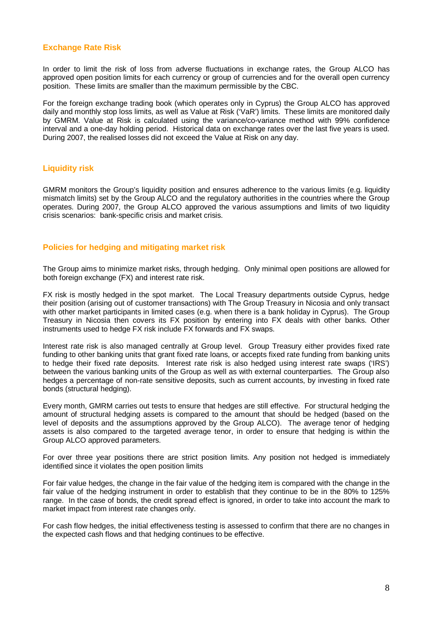## **Exchange Rate Risk**

In order to limit the risk of loss from adverse fluctuations in exchange rates, the Group ALCO has approved open position limits for each currency or group of currencies and for the overall open currency position. These limits are smaller than the maximum permissible by the CBC.

For the foreign exchange trading book (which operates only in Cyprus) the Group ALCO has approved daily and monthly stop loss limits, as well as Value at Risk ('VaR') limits. These limits are monitored daily by GMRM. Value at Risk is calculated using the variance/co-variance method with 99% confidence interval and a one-day holding period. Historical data on exchange rates over the last five years is used. During 2007, the realised losses did not exceed the Value at Risk on any day.

### **Liquidity risk**

GMRM monitors the Group's liquidity position and ensures adherence to the various limits (e.g. liquidity mismatch limits) set by the Group ALCO and the regulatory authorities in the countries where the Group operates. During 2007, the Group ALCO approved the various assumptions and limits of two liquidity crisis scenarios: bank-specific crisis and market crisis.

### **Policies for hedging and mitigating market risk**

The Group aims to minimize market risks, through hedging. Only minimal open positions are allowed for both foreign exchange (FX) and interest rate risk.

FX risk is mostly hedged in the spot market. The Local Treasury departments outside Cyprus, hedge their position (arising out of customer transactions) with The Group Treasury in Nicosia and only transact with other market participants in limited cases (e.g. when there is a bank holiday in Cyprus). The Group Treasury in Nicosia then covers its FX position by entering into FX deals with other banks. Other instruments used to hedge FX risk include FX forwards and FX swaps.

Interest rate risk is also managed centrally at Group level. Group Treasury either provides fixed rate funding to other banking units that grant fixed rate loans, or accepts fixed rate funding from banking units to hedge their fixed rate deposits. Interest rate risk is also hedged using interest rate swaps ('IRS') between the various banking units of the Group as well as with external counterparties. The Group also hedges a percentage of non-rate sensitive deposits, such as current accounts, by investing in fixed rate bonds (structural hedging).

Every month, GMRM carries out tests to ensure that hedges are still effective. For structural hedging the amount of structural hedging assets is compared to the amount that should be hedged (based on the level of deposits and the assumptions approved by the Group ALCO). The average tenor of hedging assets is also compared to the targeted average tenor, in order to ensure that hedging is within the Group ALCO approved parameters.

For over three year positions there are strict position limits. Any position not hedged is immediately identified since it violates the open position limits

For fair value hedges, the change in the fair value of the hedging item is compared with the change in the fair value of the hedging instrument in order to establish that they continue to be in the 80% to 125% range. In the case of bonds, the credit spread effect is ignored, in order to take into account the mark to market impact from interest rate changes only.

For cash flow hedges, the initial effectiveness testing is assessed to confirm that there are no changes in the expected cash flows and that hedging continues to be effective.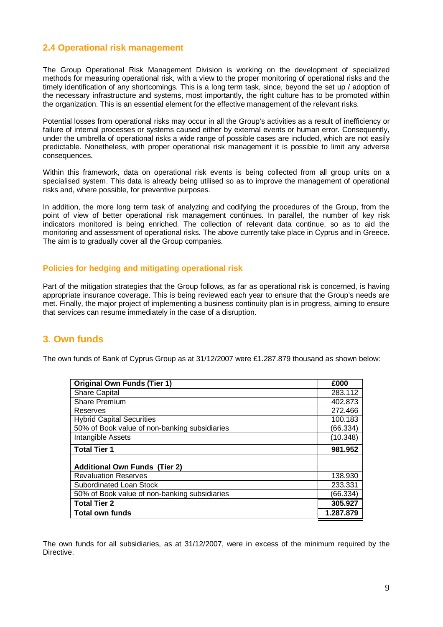## **2.4 Operational risk management**

The Group Operational Risk Management Division is working on the development of specialized methods for measuring operational risk, with a view to the proper monitoring of operational risks and the timely identification of any shortcomings. This is a long term task, since, beyond the set up / adoption of the necessary infrastructure and systems, most importantly, the right culture has to be promoted within the organization. This is an essential element for the effective management of the relevant risks.

Potential losses from operational risks may occur in all the Group's activities as a result of inefficiency or failure of internal processes or systems caused either by external events or human error. Consequently, under the umbrella of operational risks a wide range of possible cases are included, which are not easily predictable. Nonetheless, with proper operational risk management it is possible to limit any adverse consequences.

Within this framework, data on operational risk events is being collected from all group units on a specialised system. This data is already being utilised so as to improve the management of operational risks and, where possible, for preventive purposes.

In addition, the more long term task of analyzing and codifying the procedures of the Group, from the point of view of better operational risk management continues. In parallel, the number of key risk indicators monitored is being enriched. The collection of relevant data continue, so as to aid the monitoring and assessment of operational risks. The above currently take place in Cyprus and in Greece. The aim is to gradually cover all the Group companies.

#### **Policies for hedging and mitigating operational risk**

Part of the mitigation strategies that the Group follows, as far as operational risk is concerned, is having appropriate insurance coverage. This is being reviewed each year to ensure that the Group's needs are met. Finally, the major project of implementing a business continuity plan is in progress, aiming to ensure that services can resume immediately in the case of a disruption.

## **3. Own funds**

The own funds of Bank of Cyprus Group as at 31/12/2007 were £1.287.879 thousand as shown below:

| <b>Original Own Funds (Tier 1)</b>            |           |  |  |
|-----------------------------------------------|-----------|--|--|
| <b>Share Capital</b>                          | 283.112   |  |  |
| <b>Share Premium</b>                          | 402.873   |  |  |
| Reserves                                      | 272.466   |  |  |
| <b>Hybrid Capital Securities</b>              | 100.183   |  |  |
| 50% of Book value of non-banking subsidiaries | (66.334)  |  |  |
| Intangible Assets                             | (10.348)  |  |  |
| <b>Total Tier 1</b>                           | 981.952   |  |  |
| <b>Additional Own Funds (Tier 2)</b>          |           |  |  |
| <b>Revaluation Reserves</b>                   | 138.930   |  |  |
| Subordinated Loan Stock                       | 233.331   |  |  |
| 50% of Book value of non-banking subsidiaries | (66.334)  |  |  |
| <b>Total Tier 2</b>                           | 305.927   |  |  |
| <b>Total own funds</b>                        | 1.287.879 |  |  |

The own funds for all subsidiaries, as at 31/12/2007, were in excess of the minimum required by the **Directive**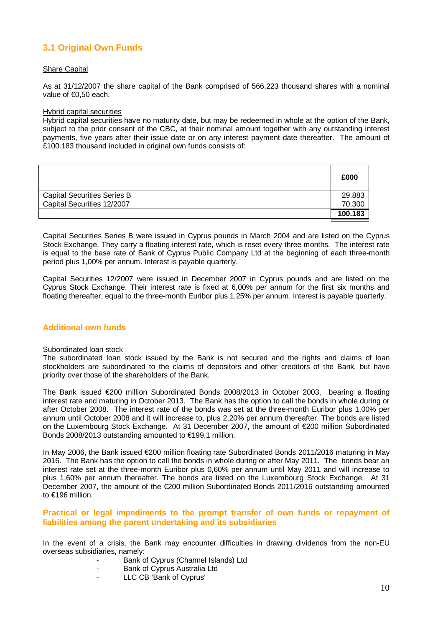## **3.1 Original Own Funds**

#### **Share Capital**

As at 31/12/2007 the share capital of the Bank comprised of 566.223 thousand shares with a nominal value of €0,50 each.

#### Hybrid capital securities

Hybrid capital securities have no maturity date, but may be redeemed in whole at the option of the Bank, subject to the prior consent of the CBC, at their nominal amount together with any outstanding interest payments, five years after their issue date or on any interest payment date thereafter. The amount of £100.183 thousand included in original own funds consists of:

|                                    | £000    |
|------------------------------------|---------|
| <b>Capital Securities Series B</b> | 29.883  |
| Capital Securities 12/2007         | 70.300  |
|                                    | 100.183 |

Capital Securities Series B were issued in Cyprus pounds in March 2004 and are listed on the Cyprus Stock Exchange. They carry a floating interest rate, which is reset every three months. The interest rate is equal to the base rate of Bank of Cyprus Public Company Ltd at the beginning of each three-month period plus 1,00% per annum. Interest is payable quarterly.

Capital Securities 12/2007 were issued in December 2007 in Cyprus pounds and are listed on the Cyprus Stock Exchange. Their interest rate is fixed at 6,00% per annum for the first six months and floating thereafter, equal to the three-month Euribor plus 1,25% per annum. Interest is payable quarterly.

#### **Additional own funds**

#### Subordinated loan stock

The subordinated loan stock issued by the Bank is not secured and the rights and claims of loan stockholders are subordinated to the claims of depositors and other creditors of the Bank, but have priority over those of the shareholders of the Bank.

The Bank issued €200 million Subordinated Bonds 2008/2013 in October 2003, bearing a floating interest rate and maturing in October 2013. The Bank has the option to call the bonds in whole during or after October 2008. The interest rate of the bonds was set at the three-month Euribor plus 1,00% per annum until October 2008 and it will increase to, plus 2,20% per annum thereafter. The bonds are listed on the Luxembourg Stock Exchange. At 31 December 2007, the amount of €200 million Subordinated Bonds 2008/2013 outstanding amounted to €199,1 million.

In May 2006, the Bank issued €200 million floating rate Subordinated Bonds 2011/2016 maturing in May 2016. The Bank has the option to call the bonds in whole during or after May 2011. The bonds bear an interest rate set at the three-month Euribor plus 0,60% per annum until May 2011 and will increase to plus 1,60% per annum thereafter. The bonds are listed on the Luxembourg Stock Exchange. At 31 December 2007, the amount of the €200 million Subordinated Bonds 2011/2016 outstanding amounted to €196 million.

#### **Practical or legal impediments to the prompt transfer of own funds or repayment of liabilities among the parent undertaking and its subsidiaries**

In the event of a crisis, the Bank may encounter difficulties in drawing dividends from the non-EU overseas subsidiaries, namely:

- Bank of Cyprus (Channel Islands) Ltd
	- Bank of Cyprus Australia Ltd
- LLC CB 'Bank of Cyprus'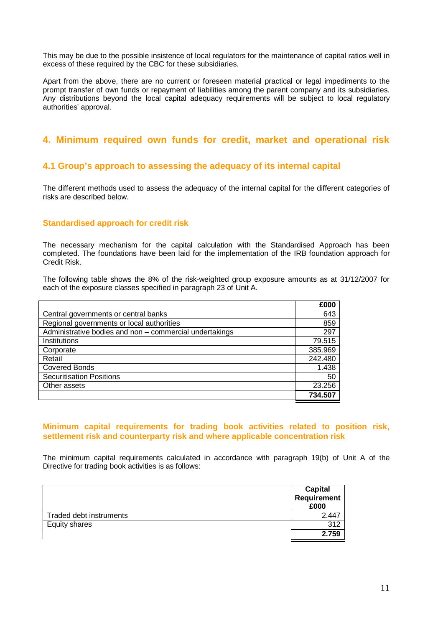This may be due to the possible insistence of local regulators for the maintenance of capital ratios well in excess of these required by the CBC for these subsidiaries.

Apart from the above, there are no current or foreseen material practical or legal impediments to the prompt transfer of own funds or repayment of liabilities among the parent company and its subsidiaries. Any distributions beyond the local capital adequacy requirements will be subject to local regulatory authorities' approval.

## **4. Minimum required own funds for credit, market and operational risk**

## **4.1 Group's approach to assessing the adequacy of its internal capital**

The different methods used to assess the adequacy of the internal capital for the different categories of risks are described below.

#### **Standardised approach for credit risk**

The necessary mechanism for the capital calculation with the Standardised Approach has been completed. The foundations have been laid for the implementation of the IRB foundation approach for Credit Risk.

The following table shows the 8% of the risk-weighted group exposure amounts as at 31/12/2007 for each of the exposure classes specified in paragraph 23 of Unit A.

|                                                         | £000    |
|---------------------------------------------------------|---------|
| Central governments or central banks                    | 643     |
| Regional governments or local authorities               | 859     |
| Administrative bodies and non - commercial undertakings | 297     |
| Institutions                                            | 79.515  |
| Corporate                                               | 385.969 |
| Retail                                                  | 242.480 |
| <b>Covered Bonds</b>                                    | 1.438   |
| <b>Securitisation Positions</b>                         | 50      |
| Other assets                                            | 23.256  |
|                                                         | 734.507 |

#### **Minimum capital requirements for trading book activities related to position risk, settlement risk and counterparty risk and where applicable concentration risk**

The minimum capital requirements calculated in accordance with paragraph 19(b) of Unit A of the Directive for trading book activities is as follows:

|                         | <b>Capital</b><br>Requirement<br>£000 |
|-------------------------|---------------------------------------|
| Traded debt instruments | 2.447                                 |
| Equity shares           | 312                                   |
|                         | 2.759                                 |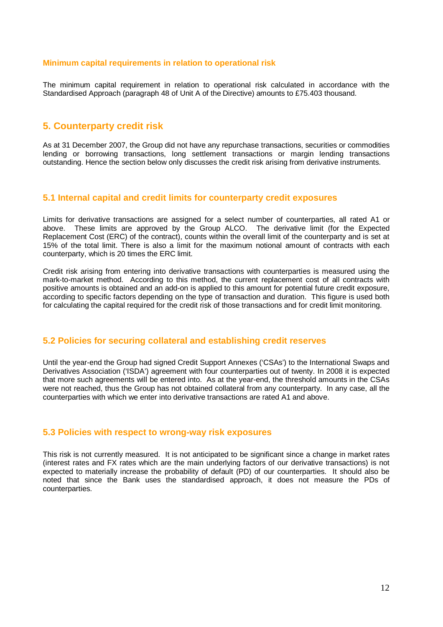#### **Minimum capital requirements in relation to operational risk**

The minimum capital requirement in relation to operational risk calculated in accordance with the Standardised Approach (paragraph 48 of Unit A of the Directive) amounts to £75.403 thousand.

## **5. Counterparty credit risk**

As at 31 December 2007, the Group did not have any repurchase transactions, securities or commodities lending or borrowing transactions, long settlement transactions or margin lending transactions outstanding. Hence the section below only discusses the credit risk arising from derivative instruments.

### **5.1 Internal capital and credit limits for counterparty credit exposures**

Limits for derivative transactions are assigned for a select number of counterparties, all rated A1 or above. These limits are approved by the Group ALCO. The derivative limit (for the Expected Replacement Cost (ERC) of the contract), counts within the overall limit of the counterparty and is set at 15% of the total limit. There is also a limit for the maximum notional amount of contracts with each counterparty, which is 20 times the ERC limit.

Credit risk arising from entering into derivative transactions with counterparties is measured using the mark-to-market method. According to this method, the current replacement cost of all contracts with positive amounts is obtained and an add-on is applied to this amount for potential future credit exposure, according to specific factors depending on the type of transaction and duration. This figure is used both for calculating the capital required for the credit risk of those transactions and for credit limit monitoring.

#### **5.2 Policies for securing collateral and establishing credit reserves**

Until the year-end the Group had signed Credit Support Annexes ('CSAs') to the International Swaps and Derivatives Association ('ISDA') agreement with four counterparties out of twenty. In 2008 it is expected that more such agreements will be entered into. As at the year-end, the threshold amounts in the CSAs were not reached, thus the Group has not obtained collateral from any counterparty. In any case, all the counterparties with which we enter into derivative transactions are rated A1 and above.

#### **5.3 Policies with respect to wrong-way risk exposures**

This risk is not currently measured. It is not anticipated to be significant since a change in market rates (interest rates and FX rates which are the main underlying factors of our derivative transactions) is not expected to materially increase the probability of default (PD) of our counterparties. It should also be noted that since the Bank uses the standardised approach, it does not measure the PDs of counterparties.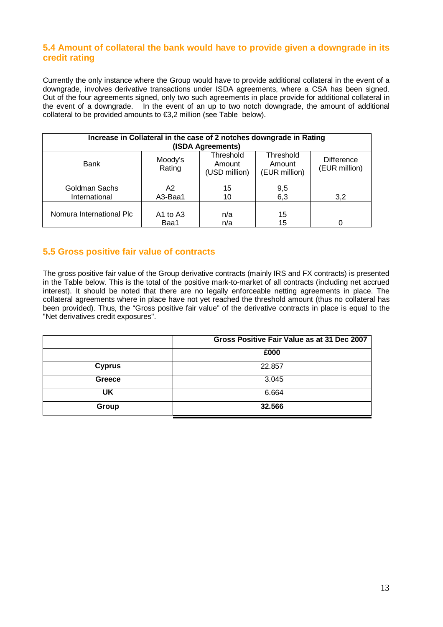## **5.4 Amount of collateral the bank would have to provide given a downgrade in its credit rating**

Currently the only instance where the Group would have to provide additional collateral in the event of a downgrade, involves derivative transactions under ISDA agreements, where a CSA has been signed. Out of the four agreements signed, only two such agreements in place provide for additional collateral in the event of a downgrade. In the event of an up to two notch downgrade, the amount of additional collateral to be provided amounts to  $\epsilon$ 3,2 million (see Table below).

| Increase in Collateral in the case of 2 notches downgrade in Rating<br>(ISDA Agreements) |                           |                                      |                                      |                                    |  |  |  |
|------------------------------------------------------------------------------------------|---------------------------|--------------------------------------|--------------------------------------|------------------------------------|--|--|--|
| Bank                                                                                     | Moody's<br>Rating         | Threshold<br>Amount<br>(USD million) | Threshold<br>Amount<br>(EUR million) | <b>Difference</b><br>(EUR million) |  |  |  |
| Goldman Sachs<br>International                                                           | A <sub>2</sub><br>A3-Baa1 | 15<br>10                             | 9,5<br>6,3                           | 3,2                                |  |  |  |
| Nomura International Plc                                                                 | A1 to A3<br>Baa1          | n/a<br>n/a                           | 15<br>15                             |                                    |  |  |  |

## **5.5 Gross positive fair value of contracts**

The gross positive fair value of the Group derivative contracts (mainly IRS and FX contracts) is presented in the Table below. This is the total of the positive mark-to-market of all contracts (including net accrued interest). It should be noted that there are no legally enforceable netting agreements in place. The collateral agreements where in place have not yet reached the threshold amount (thus no collateral has been provided). Thus, the "Gross positive fair value" of the derivative contracts in place is equal to the "Net derivatives credit exposures".

|               | Gross Positive Fair Value as at 31 Dec 2007 |
|---------------|---------------------------------------------|
|               | £000                                        |
| <b>Cyprus</b> | 22.857                                      |
| Greece        | 3.045                                       |
| UK            | 6.664                                       |
| Group         | 32.566                                      |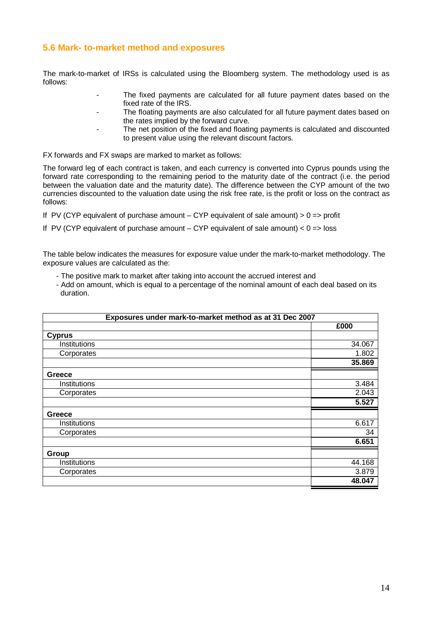## **5.6 Mark- to-market method and exposures**

The mark-to-market of IRSs is calculated using the Bloomberg system. The methodology used is as follows:

- The fixed payments are calculated for all future payment dates based on the fixed rate of the IRS.
- The floating payments are also calculated for all future payment dates based on the rates implied by the forward curve.
- The net position of the fixed and floating payments is calculated and discounted to present value using the relevant discount factors.

FX forwards and FX swaps are marked to market as follows:

The forward leg of each contract is taken, and each currency is converted into Cyprus pounds using the forward rate corresponding to the remaining period to the maturity date of the contract (i.e. the period between the valuation date and the maturity date). The difference between the CYP amount of the two currencies discounted to the valuation date using the risk free rate, is the profit or loss on the contract as follows:

If PV (CYP equivalent of purchase amount  $-$  CYP equivalent of sale amount)  $> 0 \Rightarrow$  profit

If PV (CYP equivalent of purchase amount  $-$  CYP equivalent of sale amount)  $< 0$  => loss

The table below indicates the measures for exposure value under the mark-to-market methodology. The exposure values are calculated as the:

- The positive mark to market after taking into account the accrued interest and
- Add on amount, which is equal to a percentage of the nominal amount of each deal based on its duration.

| Exposures under mark-to-market method as at 31 Dec 2007 |        |  |  |  |
|---------------------------------------------------------|--------|--|--|--|
|                                                         | £000   |  |  |  |
| <b>Cyprus</b>                                           |        |  |  |  |
| Institutions                                            | 34.067 |  |  |  |
| Corporates                                              | 1.802  |  |  |  |
|                                                         | 35.869 |  |  |  |
| Greece                                                  |        |  |  |  |
| Institutions                                            | 3.484  |  |  |  |
| Corporates                                              | 2.043  |  |  |  |
|                                                         | 5.527  |  |  |  |
| <b>Greece</b>                                           |        |  |  |  |
| Institutions                                            | 6.617  |  |  |  |
| Corporates                                              | 34     |  |  |  |
|                                                         | 6.651  |  |  |  |
| Group                                                   |        |  |  |  |
| Institutions                                            | 44.168 |  |  |  |
| Corporates                                              | 3.879  |  |  |  |
|                                                         | 48.047 |  |  |  |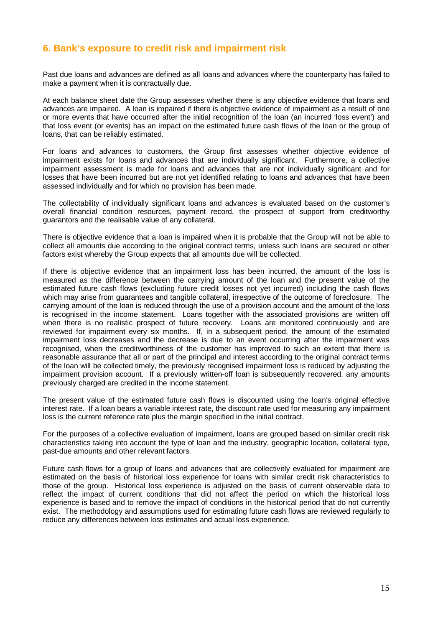## **6. Bank's exposure to credit risk and impairment risk**

Past due loans and advances are defined as all loans and advances where the counterparty has failed to make a payment when it is contractually due.

At each balance sheet date the Group assesses whether there is any objective evidence that loans and advances are impaired. A loan is impaired if there is objective evidence of impairment as a result of one or more events that have occurred after the initial recognition of the loan (an incurred 'loss event') and that loss event (or events) has an impact on the estimated future cash flows of the loan or the group of loans, that can be reliably estimated.

For loans and advances to customers, the Group first assesses whether objective evidence of impairment exists for loans and advances that are individually significant. Furthermore, a collective impairment assessment is made for loans and advances that are not individually significant and for losses that have been incurred but are not yet identified relating to loans and advances that have been assessed individually and for which no provision has been made.

The collectability of individually significant loans and advances is evaluated based on the customer's overall financial condition resources, payment record, the prospect of support from creditworthy guarantors and the realisable value of any collateral.

There is objective evidence that a loan is impaired when it is probable that the Group will not be able to collect all amounts due according to the original contract terms, unless such loans are secured or other factors exist whereby the Group expects that all amounts due will be collected.

If there is objective evidence that an impairment loss has been incurred, the amount of the loss is measured as the difference between the carrying amount of the loan and the present value of the estimated future cash flows (excluding future credit losses not yet incurred) including the cash flows which may arise from guarantees and tangible collateral, irrespective of the outcome of foreclosure. The carrying amount of the loan is reduced through the use of a provision account and the amount of the loss is recognised in the income statement. Loans together with the associated provisions are written off when there is no realistic prospect of future recovery. Loans are monitored continuously and are reviewed for impairment every six months. If, in a subsequent period, the amount of the estimated impairment loss decreases and the decrease is due to an event occurring after the impairment was recognised, when the creditworthiness of the customer has improved to such an extent that there is reasonable assurance that all or part of the principal and interest according to the original contract terms of the loan will be collected timely, the previously recognised impairment loss is reduced by adjusting the impairment provision account. If a previously written-off loan is subsequently recovered, any amounts previously charged are credited in the income statement.

The present value of the estimated future cash flows is discounted using the loan's original effective interest rate. If a loan bears a variable interest rate, the discount rate used for measuring any impairment loss is the current reference rate plus the margin specified in the initial contract.

For the purposes of a collective evaluation of impairment, loans are grouped based on similar credit risk characteristics taking into account the type of loan and the industry, geographic location, collateral type, past-due amounts and other relevant factors.

Future cash flows for a group of loans and advances that are collectively evaluated for impairment are estimated on the basis of historical loss experience for loans with similar credit risk characteristics to those of the group. Historical loss experience is adjusted on the basis of current observable data to reflect the impact of current conditions that did not affect the period on which the historical loss experience is based and to remove the impact of conditions in the historical period that do not currently exist. The methodology and assumptions used for estimating future cash flows are reviewed regularly to reduce any differences between loss estimates and actual loss experience.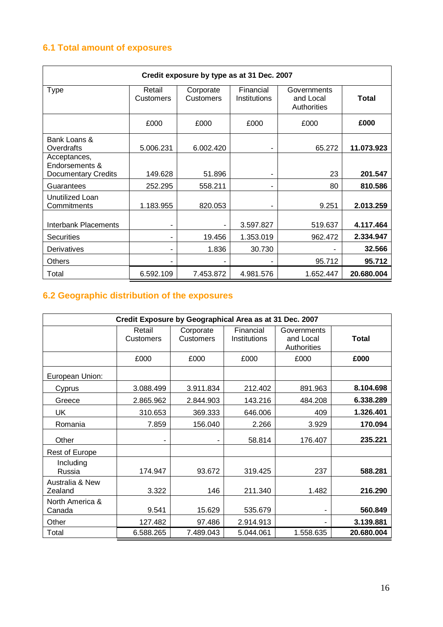## **6.1 Total amount of exposures**

| Credit exposure by type as at 31 Dec. 2007                   |                     |                               |                           |                                         |            |  |  |
|--------------------------------------------------------------|---------------------|-------------------------------|---------------------------|-----------------------------------------|------------|--|--|
| <b>Type</b>                                                  | Retail<br>Customers | Corporate<br><b>Customers</b> | Financial<br>Institutions | Governments<br>and Local<br>Authorities | Total      |  |  |
|                                                              | £000                | £000                          | £000                      | £000                                    | £000       |  |  |
| Bank Loans &<br>Overdrafts                                   | 5.006.231           | 6.002.420                     |                           | 65.272                                  | 11.073.923 |  |  |
| Acceptances,<br>Endorsements &<br><b>Documentary Credits</b> | 149.628             | 51.896                        | ۰                         | 23                                      | 201.547    |  |  |
| Guarantees                                                   | 252.295             | 558.211                       | ۰                         | 80                                      | 810.586    |  |  |
| Unutilized Loan<br>Commitments                               | 1.183.955           | 820.053                       |                           | 9.251                                   | 2.013.259  |  |  |
| Interbank Placements                                         |                     |                               | 3.597.827                 | 519.637                                 | 4.117.464  |  |  |
| <b>Securities</b>                                            |                     | 19.456                        | 1.353.019                 | 962.472                                 | 2.334.947  |  |  |
| Derivatives                                                  |                     | 1.836                         | 30.730                    |                                         | 32.566     |  |  |
| <b>Others</b>                                                |                     |                               |                           | 95.712                                  | 95.712     |  |  |
| Total                                                        | 6.592.109           | 7.453.872                     | 4.981.576                 | 1.652.447                               | 20.680.004 |  |  |

## **6.2 Geographic distribution of the exposures**

| Credit Exposure by Geographical Area as at 31 Dec. 2007 |                            |                               |                           |                                         |              |  |  |
|---------------------------------------------------------|----------------------------|-------------------------------|---------------------------|-----------------------------------------|--------------|--|--|
|                                                         | Retail<br><b>Customers</b> | Corporate<br><b>Customers</b> | Financial<br>Institutions | Governments<br>and Local<br>Authorities | <b>Total</b> |  |  |
|                                                         | £000                       | £000                          | £000                      | £000                                    | £000         |  |  |
| European Union:                                         |                            |                               |                           |                                         |              |  |  |
| Cyprus                                                  | 3.088.499                  | 3.911.834                     | 212.402                   | 891.963                                 | 8.104.698    |  |  |
| Greece                                                  | 2.865.962                  | 2.844.903                     | 143.216                   | 484.208                                 | 6.338.289    |  |  |
| UK                                                      | 310.653                    | 369.333                       | 646.006                   | 409                                     | 1.326.401    |  |  |
| Romania                                                 | 7.859                      | 156.040                       | 2.266                     | 3.929                                   | 170.094      |  |  |
| Other                                                   |                            |                               | 58.814                    | 176.407                                 | 235.221      |  |  |
| <b>Rest of Europe</b>                                   |                            |                               |                           |                                         |              |  |  |
| Including<br>Russia                                     | 174.947                    | 93.672                        | 319.425                   | 237                                     | 588.281      |  |  |
| Australia & New<br>Zealand                              | 3.322                      | 146                           | 211.340                   | 1.482                                   | 216.290      |  |  |
| North America &<br>Canada                               | 9.541                      | 15.629                        | 535.679                   |                                         | 560.849      |  |  |
| Other                                                   | 127.482                    | 97.486                        | 2.914.913                 |                                         | 3.139.881    |  |  |
| Total                                                   | 6.588.265                  | 7.489.043                     | 5.044.061                 | 1.558.635                               | 20.680.004   |  |  |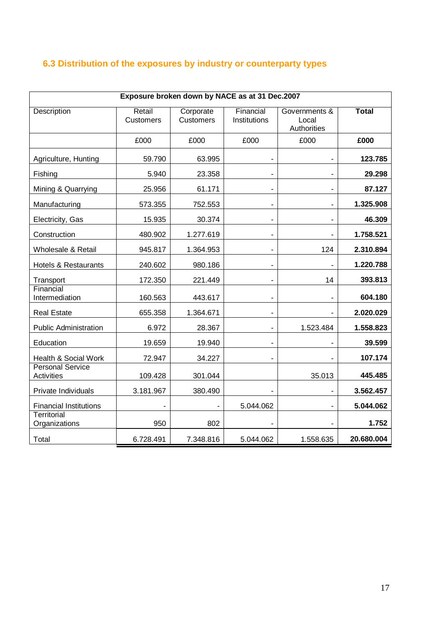## **6.3 Distribution of the exposures by industry or counterparty types**

| Exposure broken down by NACE as at 31 Dec.2007 |                            |                               |                              |                                       |              |  |
|------------------------------------------------|----------------------------|-------------------------------|------------------------------|---------------------------------------|--------------|--|
| Description                                    | Retail<br><b>Customers</b> | Corporate<br><b>Customers</b> | Financial<br>Institutions    | Governments &<br>Local<br>Authorities | <b>Total</b> |  |
|                                                | £000                       | £000                          | £000                         | £000                                  | £000         |  |
| Agriculture, Hunting                           | 59.790                     | 63.995                        | $\blacksquare$               | $\blacksquare$                        | 123.785      |  |
| Fishing                                        | 5.940                      | 23.358                        |                              |                                       | 29.298       |  |
| Mining & Quarrying                             | 25.956                     | 61.171                        |                              |                                       | 87.127       |  |
| Manufacturing                                  | 573.355                    | 752.553                       | $\qquad \qquad \blacksquare$ | $\overline{\phantom{a}}$              | 1.325.908    |  |
| Electricity, Gas                               | 15.935                     | 30.374                        | ÷,                           | $\blacksquare$                        | 46.309       |  |
| Construction                                   | 480.902                    | 1.277.619                     | ۰                            | $\overline{\phantom{a}}$              | 1.758.521    |  |
| Wholesale & Retail                             | 945.817                    | 1.364.953                     | $\qquad \qquad \blacksquare$ | 124                                   | 2.310.894    |  |
| <b>Hotels &amp; Restaurants</b>                | 240.602                    | 980.186                       | $\overline{\phantom{m}}$     |                                       | 1.220.788    |  |
| Transport                                      | 172.350                    | 221.449                       |                              | 14                                    | 393.813      |  |
| Financial<br>Intermediation                    | 160.563                    | 443.617                       | ۰                            | $\blacksquare$                        | 604.180      |  |
| <b>Real Estate</b>                             | 655.358                    | 1.364.671                     | $\overline{\phantom{a}}$     |                                       | 2.020.029    |  |
| <b>Public Administration</b>                   | 6.972                      | 28.367                        |                              | 1.523.484                             | 1.558.823    |  |
| Education                                      | 19.659                     | 19.940                        | $\overline{\phantom{a}}$     |                                       | 39.599       |  |
| Health & Social Work                           | 72.947                     | 34.227                        | $\overline{a}$               |                                       | 107.174      |  |
| <b>Personal Service</b><br>Activities          | 109.428                    | 301.044                       |                              | 35.013                                | 445.485      |  |
| Private Individuals                            | 3.181.967                  | 380.490                       |                              |                                       | 3.562.457    |  |
| <b>Financial Institutions</b>                  |                            |                               | 5.044.062                    |                                       | 5.044.062    |  |
| Territorial<br>Organizations                   | 950                        | 802                           |                              |                                       | 1.752        |  |
| Total                                          | 6.728.491                  | 7.348.816                     | 5.044.062                    | 1.558.635                             | 20.680.004   |  |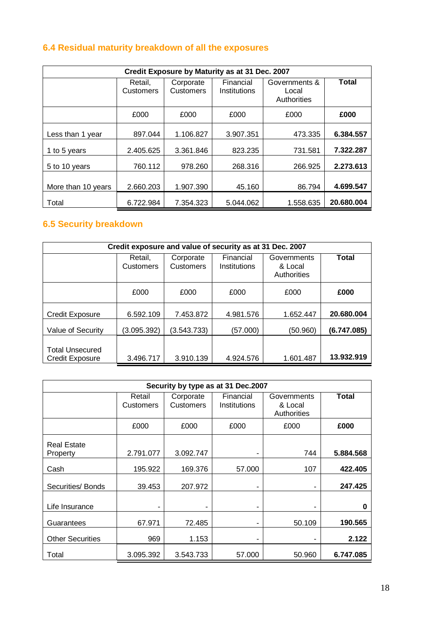## **6.4 Residual maturity breakdown of all the exposures**

| Credit Exposure by Maturity as at 31 Dec. 2007 |                                                       |           |                           |                                       |            |
|------------------------------------------------|-------------------------------------------------------|-----------|---------------------------|---------------------------------------|------------|
|                                                | Retail.<br>Corporate<br><b>Customers</b><br>Customers |           | Financial<br>Institutions | Governments &<br>Local<br>Authorities | Total      |
|                                                | £000                                                  | £000      | £000                      | £000                                  | £000       |
| Less than 1 year                               | 897.044                                               | 1.106.827 | 3.907.351                 | 473.335                               | 6.384.557  |
| 1 to 5 years                                   | 2.405.625                                             | 3.361.846 | 823.235                   | 731.581                               | 7.322.287  |
| 5 to 10 years                                  | 760.112                                               | 978.260   | 268.316                   | 266.925                               | 2.273.613  |
| More than 10 years                             | 2.660.203                                             | 1.907.390 | 45.160                    | 86.794                                | 4.699.547  |
| Total                                          | 6.722.984                                             | 7.354.323 | 5.044.062                 | 1.558.635                             | 20.680.004 |

## **6.5 Security breakdown**

| Credit exposure and value of security as at 31 Dec. 2007 |                      |                        |                           |                                       |              |
|----------------------------------------------------------|----------------------|------------------------|---------------------------|---------------------------------------|--------------|
|                                                          | Retail,<br>Customers | Corporate<br>Customers | Financial<br>Institutions | Governments<br>& Local<br>Authorities | <b>Total</b> |
|                                                          | £000                 | £000                   | £000                      | £000                                  | £000         |
| <b>Credit Exposure</b>                                   | 6.592.109            | 7.453.872              | 4.981.576                 | 1.652.447                             | 20.680.004   |
| Value of Security                                        | (3.095.392)          | (3.543.733)            | (57.000)                  | (50.960)                              | (6.747.085)  |
| <b>Total Unsecured</b><br><b>Credit Exposure</b>         | 3.496.717            | 3.910.139              | 4.924.576                 | 1.601.487                             | 13.932.919   |

| Security by type as at 31 Dec.2007 |                     |                                                            |        |                                       |              |
|------------------------------------|---------------------|------------------------------------------------------------|--------|---------------------------------------|--------------|
|                                    | Retail<br>Customers | Financial<br>Corporate<br><b>Customers</b><br>Institutions |        | Governments<br>& Local<br>Authorities | <b>Total</b> |
|                                    | £000                | £000                                                       | £000   | £000                                  | £000         |
| <b>Real Estate</b><br>Property     | 2.791.077           | 3.092.747                                                  |        | 744                                   | 5.884.568    |
| Cash                               | 195.922             | 169.376                                                    | 57,000 | 107                                   | 422.405      |
| Securities/ Bonds                  | 39.453              | 207.972                                                    | ۰      | ۰                                     | 247.425      |
| Life Insurance                     | ٠                   | ۰                                                          | ۰      | ۰                                     | 0            |
| Guarantees                         | 67.971              | 72.485                                                     |        | 50.109                                | 190.565      |
| <b>Other Securities</b>            | 969                 | 1.153                                                      | ۰      | ۰                                     | 2.122        |
| Total                              | 3.095.392           | 3.543.733                                                  | 57,000 | 50.960                                | 6.747.085    |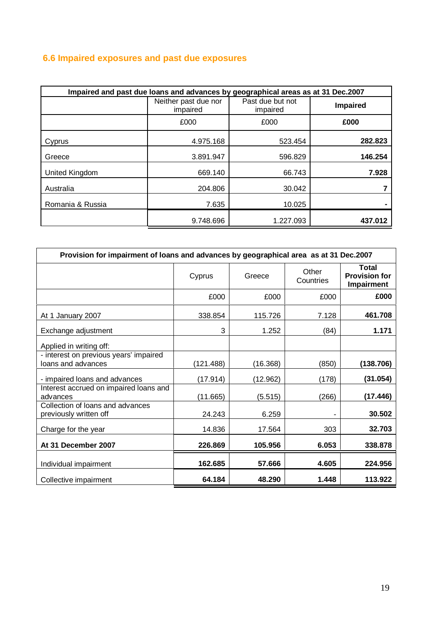## **6.6 Impaired exposures and past due exposures**

| Impaired and past due loans and advances by geographical areas as at 31 Dec.2007 |                                  |                              |                 |
|----------------------------------------------------------------------------------|----------------------------------|------------------------------|-----------------|
|                                                                                  | Neither past due nor<br>impaired | Past due but not<br>impaired | <b>Impaired</b> |
|                                                                                  | £000                             | £000                         | £000            |
| Cyprus                                                                           | 4.975.168                        | 523.454                      | 282.823         |
| Greece                                                                           | 3.891.947                        | 596.829                      | 146.254         |
| United Kingdom                                                                   | 669.140                          | 66.743                       | 7.928           |
| Australia                                                                        | 204.806                          | 30.042                       |                 |
| Romania & Russia                                                                 | 7.635                            | 10.025                       |                 |
|                                                                                  | 9.748.696                        | 1.227.093                    | 437.012         |

| Provision for impairment of loans and advances by geographical area as at 31 Dec.2007 |           |          |                    |                                             |
|---------------------------------------------------------------------------------------|-----------|----------|--------------------|---------------------------------------------|
|                                                                                       | Cyprus    | Greece   | Other<br>Countries | Total<br><b>Provision for</b><br>Impairment |
|                                                                                       | £000      | £000     | £000               | £000                                        |
| At 1 January 2007                                                                     | 338.854   | 115.726  | 7.128              | 461.708                                     |
| Exchange adjustment                                                                   | 3         | 1.252    | (84)               | 1.171                                       |
| Applied in writing off:                                                               |           |          |                    |                                             |
| - interest on previous years' impaired<br>loans and advances                          | (121.488) | (16.368) | (850)              | (138.706)                                   |
| - impaired loans and advances                                                         | (17.914)  | (12.962) | (178)              | (31.054)                                    |
| Interest accrued on impaired loans and<br>advances                                    | (11.665)  | (5.515)  | (266)              | (17.446)                                    |
| Collection of loans and advances<br>previously written off                            | 24.243    | 6.259    |                    | 30.502                                      |
| Charge for the year                                                                   | 14.836    | 17.564   | 303                | 32.703                                      |
| At 31 December 2007                                                                   | 226.869   | 105.956  | 6.053              | 338.878                                     |
| Individual impairment                                                                 | 162.685   | 57.666   | 4.605              | 224.956                                     |
| Collective impairment                                                                 | 64.184    | 48.290   | 1.448              | 113.922                                     |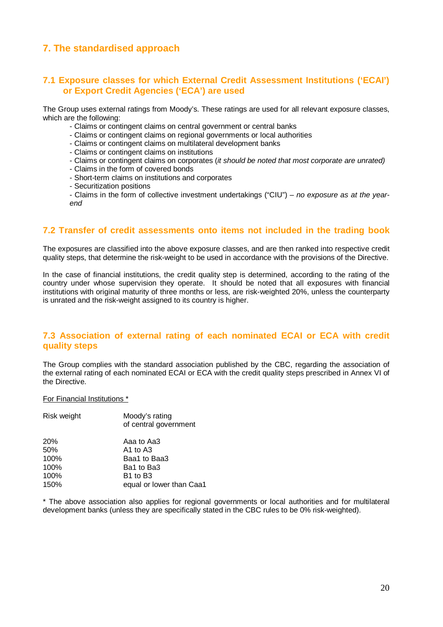## **7. The standardised approach**

## **7.1 Exposure classes for which External Credit Assessment Institutions ('ECAI') or Export Credit Agencies ('ECA') are used**

The Group uses external ratings from Moody's. These ratings are used for all relevant exposure classes, which are the following:

- Claims or contingent claims on central government or central banks
- Claims or contingent claims on regional governments or local authorities
- Claims or contingent claims on multilateral development banks
- Claims or contingent claims on institutions
- Claims or contingent claims on corporates (it should be noted that most corporate are unrated)
- Claims in the form of covered bonds
- Short-term claims on institutions and corporates
- Securitization positions
- Claims in the form of collective investment undertakings ("CIU") no exposure as at the yearend

## **7.2 Transfer of credit assessments onto items not included in the trading book**

The exposures are classified into the above exposure classes, and are then ranked into respective credit quality steps, that determine the risk-weight to be used in accordance with the provisions of the Directive.

In the case of financial institutions, the credit quality step is determined, according to the rating of the country under whose supervision they operate. It should be noted that all exposures with financial institutions with original maturity of three months or less, are risk-weighted 20%, unless the counterparty is unrated and the risk-weight assigned to its country is higher.

## **7.3 Association of external rating of each nominated ECAI or ECA with credit quality steps**

The Group complies with the standard association published by the CBC, regarding the association of the external rating of each nominated ECAI or ECA with the credit quality steps prescribed in Annex VI of the Directive.

For Financial Institutions \*

| Risk weight | Moody's rating<br>of central government |
|-------------|-----------------------------------------|
| <b>20%</b>  | Aaa to Aa3                              |
| 50%         | A1 to $A3$                              |
| 100%        | Baa1 to Baa3                            |
| 100%        | Ba1 to Ba3                              |
| 100%        | B <sub>1</sub> to B <sub>3</sub>        |
| 150%        | equal or lower than Caa1                |

\* The above association also applies for regional governments or local authorities and for multilateral development banks (unless they are specifically stated in the CBC rules to be 0% risk-weighted).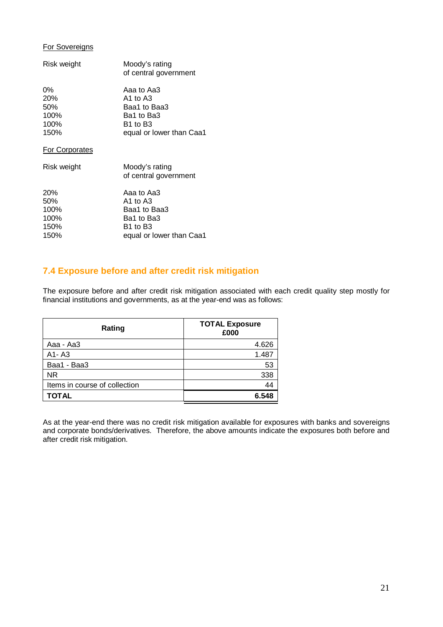## For Sovereigns

| Risk weight           | Moody's rating<br>of central government |
|-----------------------|-----------------------------------------|
| 0%                    | Aaa to Aa3                              |
| 20%                   | A1 to A3                                |
| 50%                   | Baa1 to Baa3                            |
| 100%                  | Ba1 to Ba3                              |
| 100%                  | B1 to B3                                |
| 150%                  | equal or lower than Caa1                |
| <b>For Corporates</b> |                                         |

| Risk weight               | Moody's rating<br>of central government    |
|---------------------------|--------------------------------------------|
| <b>20%</b><br>50%<br>100% | Aaa to Aa3<br>$A1$ to $A3$<br>Baa1 to Baa3 |
| 100%                      | Ba1 to Ba3                                 |
| 150%                      | B <sub>1</sub> to B <sub>3</sub>           |
| 150%                      | equal or lower than Caa1                   |

## **7.4 Exposure before and after credit risk mitigation**

The exposure before and after credit risk mitigation associated with each credit quality step mostly for financial institutions and governments, as at the year-end was as follows:

| Rating                        | <b>TOTAL Exposure</b><br>£000 |
|-------------------------------|-------------------------------|
| Aaa - Aa3                     | 4.626                         |
| $A1 - A3$                     | 1.487                         |
| Baa1 - Baa3                   | 53                            |
| <b>NR</b>                     | 338                           |
| Items in course of collection | 44                            |
| <b>TOTAL</b>                  | 6.548                         |

As at the year-end there was no credit risk mitigation available for exposures with banks and sovereigns and corporate bonds/derivatives. Therefore, the above amounts indicate the exposures both before and after credit risk mitigation.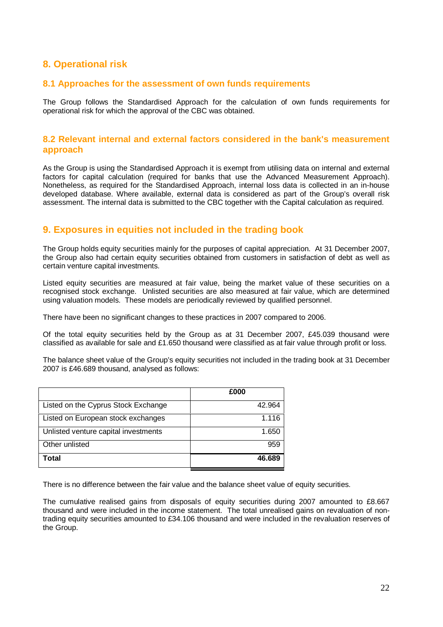## **8. Operational risk**

## **8.1 Approaches for the assessment of own funds requirements**

The Group follows the Standardised Approach for the calculation of own funds requirements for operational risk for which the approval of the CBC was obtained.

## **8.2 Relevant internal and external factors considered in the bank's measurement approach**

As the Group is using the Standardised Approach it is exempt from utilising data on internal and external factors for capital calculation (required for banks that use the Advanced Measurement Approach). Nonetheless, as required for the Standardised Approach, internal loss data is collected in an in-house developed database. Where available, external data is considered as part of the Group's overall risk assessment. The internal data is submitted to the CBC together with the Capital calculation as required.

## **9. Exposures in equities not included in the trading book**

The Group holds equity securities mainly for the purposes of capital appreciation. At 31 December 2007, the Group also had certain equity securities obtained from customers in satisfaction of debt as well as certain venture capital investments.

Listed equity securities are measured at fair value, being the market value of these securities on a recognised stock exchange. Unlisted securities are also measured at fair value, which are determined using valuation models. These models are periodically reviewed by qualified personnel.

There have been no significant changes to these practices in 2007 compared to 2006.

Of the total equity securities held by the Group as at 31 December 2007, £45.039 thousand were classified as available for sale and £1.650 thousand were classified as at fair value through profit or loss.

The balance sheet value of the Group's equity securities not included in the trading book at 31 December 2007 is £46.689 thousand, analysed as follows:

|                                      | £000   |
|--------------------------------------|--------|
| Listed on the Cyprus Stock Exchange  | 42.964 |
| Listed on European stock exchanges   | 1.116  |
| Unlisted venture capital investments | 1.650  |
| Other unlisted                       | 959    |
| Total                                | 46.689 |

There is no difference between the fair value and the balance sheet value of equity securities.

The cumulative realised gains from disposals of equity securities during 2007 amounted to £8.667 thousand and were included in the income statement. The total unrealised gains on revaluation of nontrading equity securities amounted to £34.106 thousand and were included in the revaluation reserves of the Group.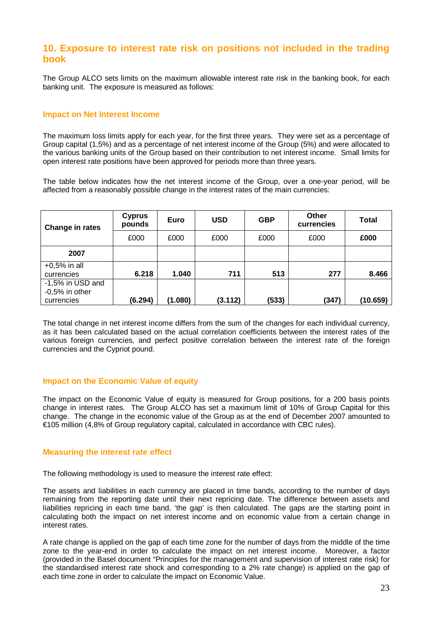## **10. Exposure to interest rate risk on positions not included in the trading book**

The Group ALCO sets limits on the maximum allowable interest rate risk in the banking book, for each banking unit. The exposure is measured as follows:

#### **Impact on Net Interest Income**

The maximum loss limits apply for each year, for the first three years. They were set as a percentage of Group capital (1,5%) and as a percentage of net interest income of the Group (5%) and were allocated to the various banking units of the Group based on their contribution to net interest income. Small limits for open interest rate positions have been approved for periods more than three years.

The table below indicates how the net interest income of the Group, over a one-year period, will be affected from a reasonably possible change in the interest rates of the main currencies:

| Change in rates  | <b>Cyprus</b><br>pounds | Euro    | <b>USD</b> | <b>GBP</b> | <b>Other</b><br>currencies | Total    |
|------------------|-------------------------|---------|------------|------------|----------------------------|----------|
|                  | £000                    | £000    | £000       | £000       | £000                       | £000     |
| 2007             |                         |         |            |            |                            |          |
| $+0.5%$ in all   |                         |         |            |            |                            |          |
| currencies       | 6.218                   | 1.040   | 711        | 513        | 277                        | 8.466    |
| -1,5% in USD and |                         |         |            |            |                            |          |
| $-0.5%$ in other |                         |         |            |            |                            |          |
| currencies       | (6.294)                 | (1.080) | (3.112)    | (533)      | (347)                      | (10.659) |

The total change in net interest income differs from the sum of the changes for each individual currency, as it has been calculated based on the actual correlation coefficients between the interest rates of the various foreign currencies, and perfect positive correlation between the interest rate of the foreign currencies and the Cypriot pound.

## **Impact on the Economic Value of equity**

The impact on the Economic Value of equity is measured for Group positions, for a 200 basis points change in interest rates. The Group ALCO has set a maximum limit of 10% of Group Capital for this change. The change in the economic value of the Group as at the end of December 2007 amounted to €105 million (4,8% of Group regulatory capital, calculated in accordance with CBC rules).

#### **Measuring the interest rate effect**

The following methodology is used to measure the interest rate effect:

The assets and liabilities in each currency are placed in time bands, according to the number of days remaining from the reporting date until their next repricing date. The difference between assets and liabilities repricing in each time band, 'the gap' is then calculated. The gaps are the starting point in calculating both the impact on net interest income and on economic value from a certain change in interest rates.

A rate change is applied on the gap of each time zone for the number of days from the middle of the time zone to the year-end in order to calculate the impact on net interest income. Moreover, a factor (provided in the Basel document "Principles for the management and supervision of interest rate risk) for the standardised interest rate shock and corresponding to a 2% rate change) is applied on the gap of each time zone in order to calculate the impact on Economic Value.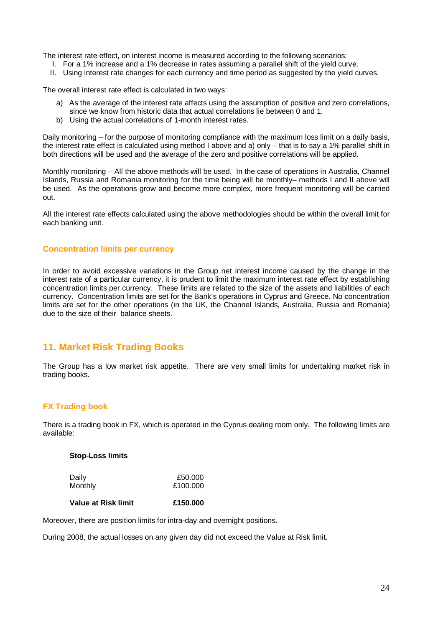The interest rate effect, on interest income is measured according to the following scenarios:

- I. For a 1% increase and a 1% decrease in rates assuming a parallel shift of the yield curve.
- II. Using interest rate changes for each currency and time period as suggested by the yield curves.

The overall interest rate effect is calculated in two ways:

- a) As the average of the interest rate affects using the assumption of positive and zero correlations, since we know from historic data that actual correlations lie between 0 and 1.
- b) Using the actual correlations of 1-month interest rates.

Daily monitoring – for the purpose of monitoring compliance with the maximum loss limit on a daily basis, the interest rate effect is calculated using method I above and a) only – that is to say a 1% parallel shift in both directions will be used and the average of the zero and positive correlations will be applied.

Monthly monitoring – All the above methods will be used. In the case of operations in Australia, Channel Islands, Russia and Romania monitoring for the time being will be monthly– methods I and II above will be used. As the operations grow and become more complex, more frequent monitoring will be carried out.

All the interest rate effects calculated using the above methodologies should be within the overall limit for each banking unit.

#### **Concentration limits per currency**

In order to avoid excessive variations in the Group net interest income caused by the change in the interest rate of a particular currency, it is prudent to limit the maximum interest rate effect by establishing concentration limits per currency. These limits are related to the size of the assets and liabilities of each currency. Concentration limits are set for the Bank's operations in Cyprus and Greece. No concentration limits are set for the other operations (in the UK, the Channel Islands, Australia, Russia and Romania) due to the size of their balance sheets.

## **11. Market Risk Trading Books**

The Group has a low market risk appetite. There are very small limits for undertaking market risk in trading books.

#### **FX Trading book**

There is a trading book in FX, which is operated in the Cyprus dealing room only. The following limits are available:

#### **Stop-Loss limits**

| Daily   | £50,000  |
|---------|----------|
| Monthly | £100,000 |

### **Value at Risk limit £150.000**

Moreover, there are position limits for intra-day and overnight positions.

During 2008, the actual losses οn any given day did not exceed the Value at Risk limit.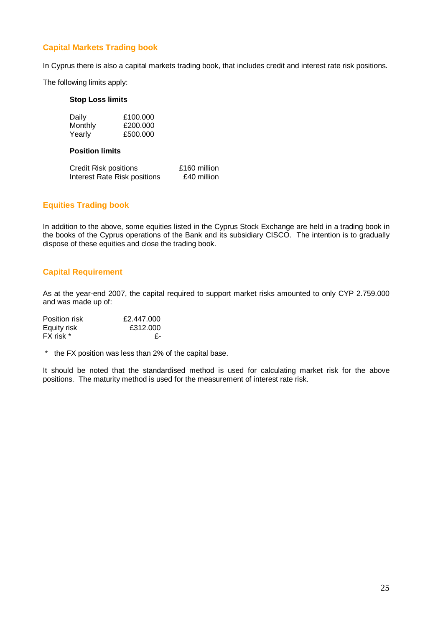## **Capital Markets Trading book**

In Cyprus there is also a capital markets trading book, that includes credit and interest rate risk positions.

The following limits apply:

#### **Stop Loss limits**

| Daily   | £100,000 |
|---------|----------|
| Monthly | £200.000 |
| Yearly  | £500,000 |

#### **Position limits**

| Credit Risk positions        | £160 million |
|------------------------------|--------------|
| Interest Rate Risk positions | £40 million  |

## **Equities Trading book**

In addition to the above, some equities listed in the Cyprus Stock Exchange are held in a trading book in the books of the Cyprus operations of the Bank and its subsidiary CISCO. The intention is to gradually dispose of these equities and close the trading book.

## **Capital Requirement**

As at the year-end 2007, the capital required to support market risks amounted to only CYP 2.759.000 and was made up of:

| Position risk | £2.447.000 |  |
|---------------|------------|--|
| Equity risk   | £312.000   |  |
| FX risk *     | - F-       |  |

\* the FX position was less than 2% of the capital base.

It should be noted that the standardised method is used for calculating market risk for the above positions. The maturity method is used for the measurement of interest rate risk.